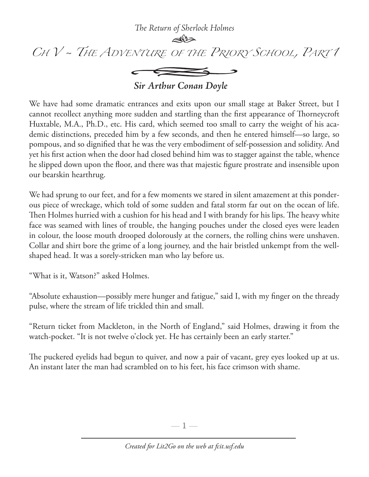*The Return of Sherlock Holmes*



 $\leftarrow$ 

*Sir Arthur Conan Doyle*

We have had some dramatic entrances and exits upon our small stage at Baker Street, but I cannot recollect anything more sudden and startling than the first appearance of Thorneycroft Huxtable, M.A., Ph.D., etc. His card, which seemed too small to carry the weight of his academic distinctions, preceded him by a few seconds, and then he entered himself—so large, so pompous, and so dignified that he was the very embodiment of self-possession and solidity. And yet his first action when the door had closed behind him was to stagger against the table, whence he slipped down upon the floor, and there was that majestic figure prostrate and insensible upon our bearskin hearthrug.

We had sprung to our feet, and for a few moments we stared in silent amazement at this ponderous piece of wreckage, which told of some sudden and fatal storm far out on the ocean of life. Then Holmes hurried with a cushion for his head and I with brandy for his lips. The heavy white face was seamed with lines of trouble, the hanging pouches under the closed eyes were leaden in colour, the loose mouth drooped dolorously at the corners, the rolling chins were unshaven. Collar and shirt bore the grime of a long journey, and the hair bristled unkempt from the wellshaped head. It was a sorely-stricken man who lay before us.

"What is it, Watson?" asked Holmes.

"Absolute exhaustion—possibly mere hunger and fatigue," said I, with my finger on the thready pulse, where the stream of life trickled thin and small.

"Return ticket from Mackleton, in the North of England," said Holmes, drawing it from the watch-pocket. "It is not twelve o'clock yet. He has certainly been an early starter."

The puckered eyelids had begun to quiver, and now a pair of vacant, grey eyes looked up at us. An instant later the man had scrambled on to his feet, his face crimson with shame.

 $-1-$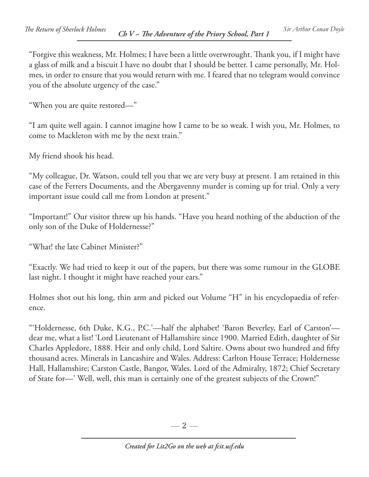"Forgive this weakness, Mr. Holmes; I have been a little overwrought. Thank you, if I might have a glass of milk and a biscuit I have no doubt that I should be better. I came personally, Mr. Holmes, in order to ensure that you would return with me. I feared that no telegram would convince you of the absolute urgency of the case."

"When you are quite restored—"

"I am quite well again. I cannot imagine how I came to be so weak. I wish you, Mr. Holmes, to come to Mackleton with me by the next train."

My friend shook his head.

"My colleague, Dr. Watson, could tell you that we are very busy at present. I am retained in this case of the Ferrers Documents, and the Abergavenny murder is coming up for trial. Only a very important issue could call me from London at present."

"Important!" Our visitor threw up his hands. "Have you heard nothing of the abduction of the only son of the Duke of Holdernesse?"

"What! the late Cabinet Minister?"

"Exactly. We had tried to keep it out of the papers, but there was some rumour in the GLOBE last night. I thought it might have reached your ears."

Holmes shot out his long, thin arm and picked out Volume "H" in his encyclopaedia of reference.

"'Holdernesse, 6th Duke, K.G., P.C.'—half the alphabet! 'Baron Beverley, Earl of Carston' dear me, what a list! 'Lord Lieutenant of Hallamshire since 1900. Married Edith, daughter of Sir Charles Appledore, 1888. Heir and only child, Lord Saltire. Owns about two hundred and fifty thousand acres. Minerals in Lancashire and Wales. Address: Carlton House Terrace; Holdernesse Hall, Hallamshire; Carston Castle, Bangor, Wales. Lord of the Admiralty, 1872; Chief Secretary of State for—' Well, well, this man is certainly one of the greatest subjects of the Crown!"

 $-2-$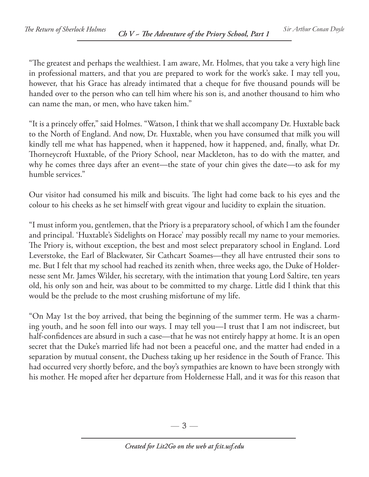"The greatest and perhaps the wealthiest. I am aware, Mr. Holmes, that you take a very high line in professional matters, and that you are prepared to work for the work's sake. I may tell you, however, that his Grace has already intimated that a cheque for five thousand pounds will be handed over to the person who can tell him where his son is, and another thousand to him who can name the man, or men, who have taken him."

"It is a princely offer," said Holmes. "Watson, I think that we shall accompany Dr. Huxtable back to the North of England. And now, Dr. Huxtable, when you have consumed that milk you will kindly tell me what has happened, when it happened, how it happened, and, finally, what Dr. Thorneycroft Huxtable, of the Priory School, near Mackleton, has to do with the matter, and why he comes three days after an event—the state of your chin gives the date—to ask for my humble services."

Our visitor had consumed his milk and biscuits. The light had come back to his eyes and the colour to his cheeks as he set himself with great vigour and lucidity to explain the situation.

"I must inform you, gentlemen, that the Priory is a preparatory school, of which I am the founder and principal. 'Huxtable's Sidelights on Horace' may possibly recall my name to your memories. The Priory is, without exception, the best and most select preparatory school in England. Lord Leverstoke, the Earl of Blackwater, Sir Cathcart Soames—they all have entrusted their sons to me. But I felt that my school had reached its zenith when, three weeks ago, the Duke of Holdernesse sent Mr. James Wilder, his secretary, with the intimation that young Lord Saltire, ten years old, his only son and heir, was about to be committed to my charge. Little did I think that this would be the prelude to the most crushing misfortune of my life.

"On May 1st the boy arrived, that being the beginning of the summer term. He was a charming youth, and he soon fell into our ways. I may tell you—I trust that I am not indiscreet, but half-confidences are absurd in such a case—that he was not entirely happy at home. It is an open secret that the Duke's married life had not been a peaceful one, and the matter had ended in a separation by mutual consent, the Duchess taking up her residence in the South of France. This had occurred very shortly before, and the boy's sympathies are known to have been strongly with his mother. He moped after her departure from Holdernesse Hall, and it was for this reason that

 $-3-$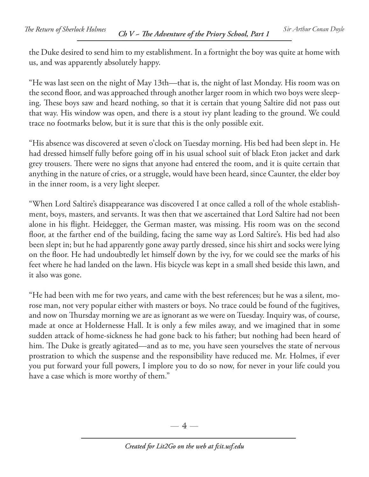the Duke desired to send him to my establishment. In a fortnight the boy was quite at home with us, and was apparently absolutely happy.

"He was last seen on the night of May 13th—that is, the night of last Monday. His room was on the second floor, and was approached through another larger room in which two boys were sleeping. These boys saw and heard nothing, so that it is certain that young Saltire did not pass out that way. His window was open, and there is a stout ivy plant leading to the ground. We could trace no footmarks below, but it is sure that this is the only possible exit.

"His absence was discovered at seven o'clock on Tuesday morning. His bed had been slept in. He had dressed himself fully before going off in his usual school suit of black Eton jacket and dark grey trousers. There were no signs that anyone had entered the room, and it is quite certain that anything in the nature of cries, or a struggle, would have been heard, since Caunter, the elder boy in the inner room, is a very light sleeper.

"When Lord Saltire's disappearance was discovered I at once called a roll of the whole establishment, boys, masters, and servants. It was then that we ascertained that Lord Saltire had not been alone in his flight. Heidegger, the German master, was missing. His room was on the second floor, at the farther end of the building, facing the same way as Lord Saltire's. His bed had also been slept in; but he had apparently gone away partly dressed, since his shirt and socks were lying on the floor. He had undoubtedly let himself down by the ivy, for we could see the marks of his feet where he had landed on the lawn. His bicycle was kept in a small shed beside this lawn, and it also was gone.

"He had been with me for two years, and came with the best references; but he was a silent, morose man, not very popular either with masters or boys. No trace could be found of the fugitives, and now on Thursday morning we are as ignorant as we were on Tuesday. Inquiry was, of course, made at once at Holdernesse Hall. It is only a few miles away, and we imagined that in some sudden attack of home-sickness he had gone back to his father; but nothing had been heard of him. The Duke is greatly agitated—and as to me, you have seen yourselves the state of nervous prostration to which the suspense and the responsibility have reduced me. Mr. Holmes, if ever you put forward your full powers, I implore you to do so now, for never in your life could you have a case which is more worthy of them."

 $-4-$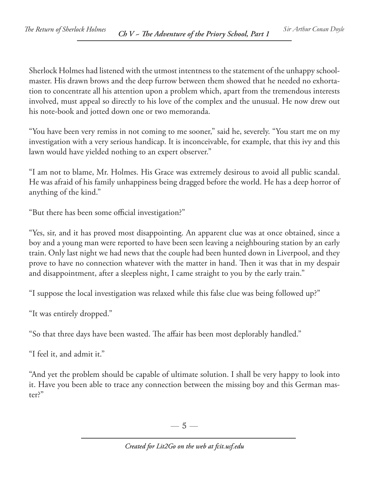Sherlock Holmes had listened with the utmost intentness to the statement of the unhappy schoolmaster. His drawn brows and the deep furrow between them showed that he needed no exhortation to concentrate all his attention upon a problem which, apart from the tremendous interests involved, must appeal so directly to his love of the complex and the unusual. He now drew out his note-book and jotted down one or two memoranda.

"You have been very remiss in not coming to me sooner," said he, severely. "You start me on my investigation with a very serious handicap. It is inconceivable, for example, that this ivy and this lawn would have yielded nothing to an expert observer."

"I am not to blame, Mr. Holmes. His Grace was extremely desirous to avoid all public scandal. He was afraid of his family unhappiness being dragged before the world. He has a deep horror of anything of the kind."

"But there has been some official investigation?"

"Yes, sir, and it has proved most disappointing. An apparent clue was at once obtained, since a boy and a young man were reported to have been seen leaving a neighbouring station by an early train. Only last night we had news that the couple had been hunted down in Liverpool, and they prove to have no connection whatever with the matter in hand. Then it was that in my despair and disappointment, after a sleepless night, I came straight to you by the early train."

"I suppose the local investigation was relaxed while this false clue was being followed up?"

"It was entirely dropped."

"So that three days have been wasted. The affair has been most deplorably handled."

"I feel it, and admit it."

"And yet the problem should be capable of ultimate solution. I shall be very happy to look into it. Have you been able to trace any connection between the missing boy and this German master?"

—  $5-$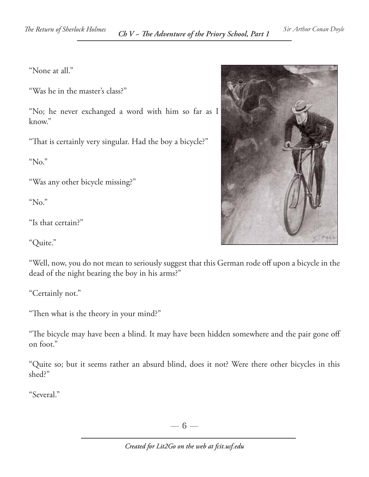"None at all."

"Was he in the master's class?"

"No; he never exchanged a word with him so far as I know."

"That is certainly very singular. Had the boy a bicycle?"

"No."

"Was any other bicycle missing?"

"No."

"Is that certain?"

"Quite."

"Well, now, you do not mean to seriously suggest that this German rode off upon a bicycle in the dead of the night bearing the boy in his arms?"

"Certainly not."

"Then what is the theory in your mind?"

"The bicycle may have been a blind. It may have been hidden somewhere and the pair gone off on foot."

"Quite so; but it seems rather an absurd blind, does it not? Were there other bicycles in this shed?"

"Several."



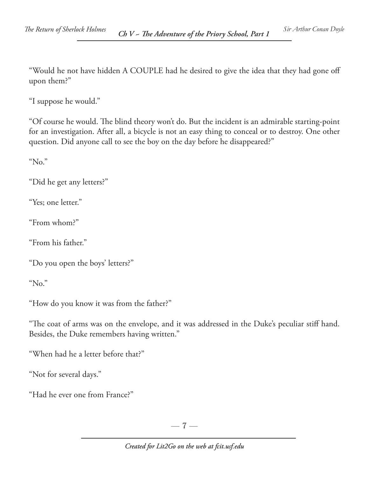"Would he not have hidden A COUPLE had he desired to give the idea that they had gone off upon them?"

"I suppose he would."

"Of course he would. The blind theory won't do. But the incident is an admirable starting-point for an investigation. After all, a bicycle is not an easy thing to conceal or to destroy. One other question. Did anyone call to see the boy on the day before he disappeared?"

"No."

"Did he get any letters?"

"Yes; one letter."

"From whom?"

"From his father."

"Do you open the boys' letters?"

"No."

"How do you know it was from the father?"

"The coat of arms was on the envelope, and it was addressed in the Duke's peculiar stiff hand. Besides, the Duke remembers having written."

"When had he a letter before that?"

"Not for several days."

"Had he ever one from France?"

 $-7-$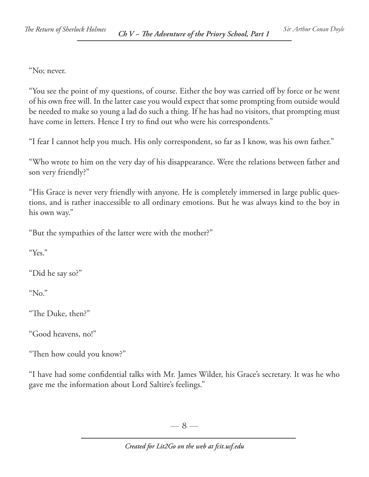"No; never.

"You see the point of my questions, of course. Either the boy was carried off by force or he went of his own free will. In the latter case you would expect that some prompting from outside would be needed to make so young a lad do such a thing. If he has had no visitors, that prompting must have come in letters. Hence I try to find out who were his correspondents."

"I fear I cannot help you much. His only correspondent, so far as I know, was his own father."

"Who wrote to him on the very day of his disappearance. Were the relations between father and son very friendly?"

"His Grace is never very friendly with anyone. He is completely immersed in large public questions, and is rather inaccessible to all ordinary emotions. But he was always kind to the boy in his own way."

"But the sympathies of the latter were with the mother?"

"Yes."

"Did he say so?"

"No."

"The Duke, then?"

"Good heavens, no!"

"Then how could you know?"

"I have had some confidential talks with Mr. James Wilder, his Grace's secretary. It was he who gave me the information about Lord Saltire's feelings."

 $-8-$